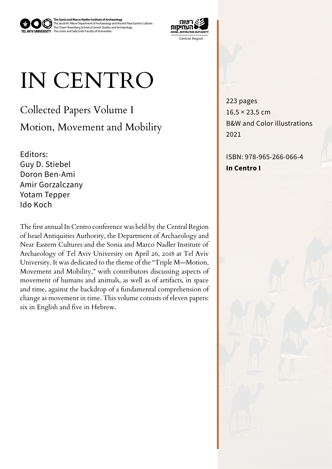The Jacob M. Alkow Department of Archaeology and Ancient Near Eastern Cultures<br>The Chaim Rosenberg School of Jewish Studies and Archaeology<br>The Lester and Sally Entin Faculty of Humanities **The Sonia and Marco Nadler Institute of Archaeology** 



## IN CENTRO

Collected Papers Volume I Motion, Movement and Mobility

Editors: Guy D. Stiebel Doron Ben-Ami Gorzalczany Amir Yotam Tepper Ido Koch

The first annual In Centro conference was held by the Central Region of Israel Antiquities Authority, the Department of Archaeology and Near Eastern Cultures and the Sonia and Marco Nadler Institute of Archaeology of Tel Aviv University on April 26, 2018 at Tel Aviv University. It was dedicated to the theme of the "Triple M-Motion, Movement and Mobility," with contributors discussing aspects of movement of humans and animals, as well as of artifacts, in space and time, against the backdrop of a fundamental comprehension of change as movement in time. This volume consists of eleven papers: six in English and five in Hebrew.

223 pages  $16.5 \times 23.5$  cm B&W and Color illustrations 2021

 $ISBN.978-965-266-066-4$ **In Centro I**